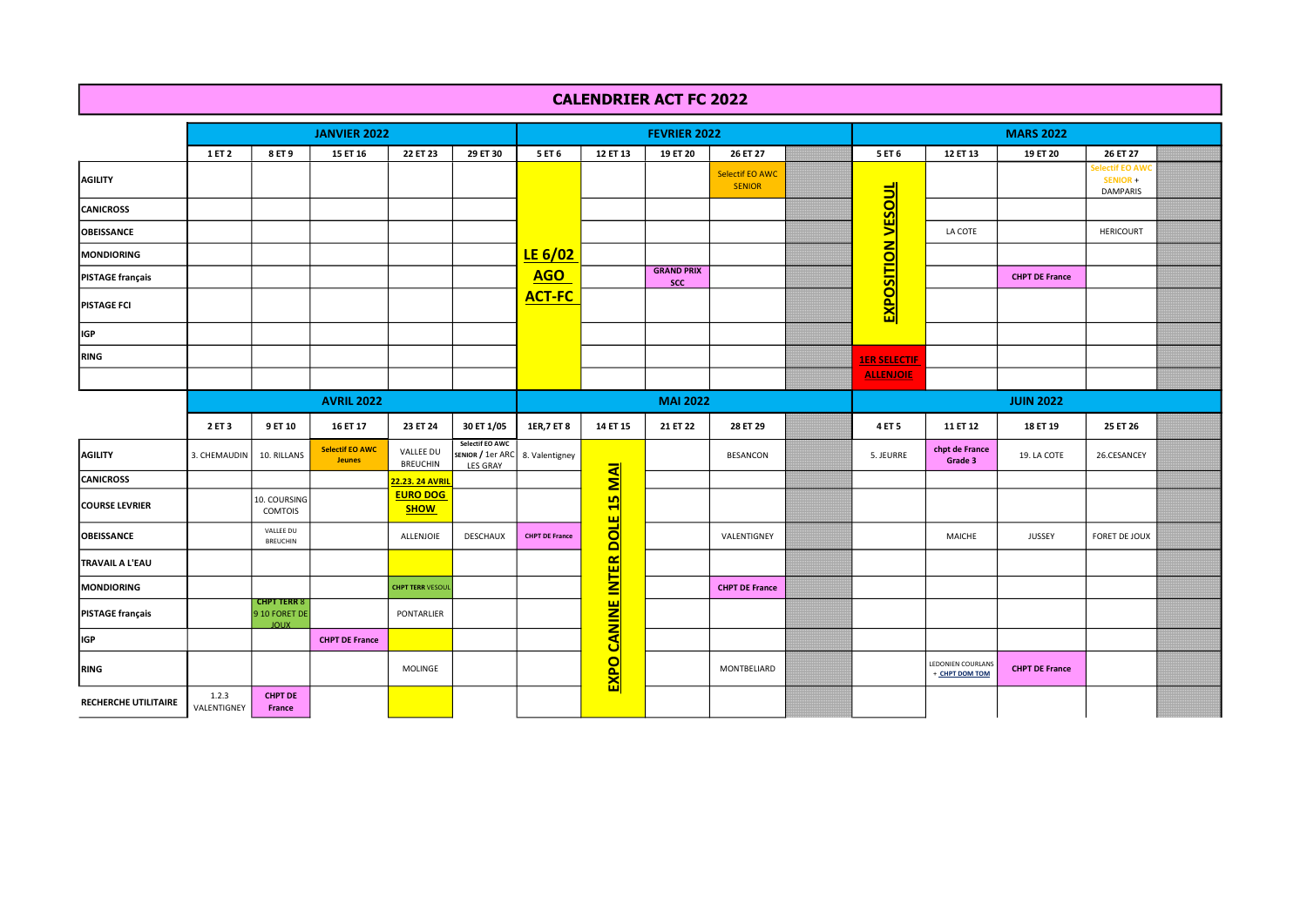## CALENDRIER ACT FC 2022

|                             |                      |                                                    | <b>JANVIER 2022</b>                     |                                |                                                                       |                       |                               | <b>FEVRIER 2022</b>             |                                         | <b>MARS 2022</b>         |                                     |                       |                                               |  |  |
|-----------------------------|----------------------|----------------------------------------------------|-----------------------------------------|--------------------------------|-----------------------------------------------------------------------|-----------------------|-------------------------------|---------------------------------|-----------------------------------------|--------------------------|-------------------------------------|-----------------------|-----------------------------------------------|--|--|
|                             | 1 ET 2               | 8 ET 9                                             | 15 ET 16                                | 22 ET 23                       | 29 ET 30                                                              | 5 ET 6                | 12 ET 13                      | 19 ET 20                        | 26 ET 27                                | 5 ET 6                   | 12 ET 13                            | 19 ET 20              | 26 ET 27                                      |  |  |
| AGILITY                     |                      |                                                    |                                         |                                |                                                                       |                       |                               |                                 | <b>Selectif EO AWC</b><br><b>SENIOR</b> |                          |                                     |                       | electif EO AWC<br>SENIOR +<br><b>DAMPARIS</b> |  |  |
| <b>CANICROSS</b>            |                      |                                                    |                                         |                                |                                                                       |                       |                               |                                 |                                         |                          |                                     |                       |                                               |  |  |
| <b>OBEISSANCE</b>           |                      |                                                    |                                         |                                |                                                                       |                       |                               |                                 |                                         |                          | LA COTE                             |                       | <b>HERICOURT</b>                              |  |  |
| MONDIORING                  |                      |                                                    |                                         |                                |                                                                       | LE $6/02$             |                               |                                 |                                         |                          |                                     |                       |                                               |  |  |
| <b>PISTAGE français</b>     |                      |                                                    |                                         |                                |                                                                       | <b>AGO</b>            |                               | <b>GRAND PRIX</b><br><b>SCC</b> |                                         |                          |                                     | <b>CHPT DE France</b> |                                               |  |  |
| <b>PISTAGE FCI</b>          |                      |                                                    |                                         |                                |                                                                       | <b>ACT-FC</b>         |                               |                                 |                                         | <b>EXPOSITION VESOUL</b> |                                     |                       |                                               |  |  |
| <b>IGP</b>                  |                      |                                                    |                                         |                                |                                                                       |                       |                               |                                 |                                         |                          |                                     |                       |                                               |  |  |
| <b>RING</b>                 |                      |                                                    |                                         |                                |                                                                       |                       |                               |                                 |                                         | <b>1ER SELECTIF</b>      |                                     |                       |                                               |  |  |
|                             |                      |                                                    |                                         |                                |                                                                       |                       |                               |                                 |                                         | <b>ALLENJOIE</b>         |                                     |                       |                                               |  |  |
|                             | <b>AVRIL 2022</b>    |                                                    |                                         |                                |                                                                       |                       |                               | <b>MAI 2022</b>                 |                                         | <b>JUIN 2022</b>         |                                     |                       |                                               |  |  |
|                             | 2 ET 3               | 9 ET 10                                            | 16 ET 17                                | 23 ET 24                       | 30 ET 1/05                                                            | 1ER, 7 ET 8           | 14 ET 15                      | 21 ET 22                        | 28 ET 29                                | 4 ET 5                   | 11 ET 12                            | 18 ET 19              | 25 ET 26                                      |  |  |
| <b>AGILITY</b>              | 3. CHEMAUDIN         | 10. RILLANS                                        | <b>Selectif EO AWC</b><br><b>Jeunes</b> | VALLEE DU<br><b>BREUCHIN</b>   | Selectif EO AWC<br>SENIOR / 1er ARC 8. Valentigney<br><b>LES GRAY</b> |                       |                               |                                 | BESANCON                                | 5. JEURRE                | chpt de France<br>Grade 3           | 19. LA COTE           | 26.CESANCEY                                   |  |  |
| <b>CANICROSS</b>            |                      |                                                    |                                         | <mark>22.23. 24 AVRIL</mark>   |                                                                       |                       | <b>NN</b>                     |                                 |                                         |                          |                                     |                       |                                               |  |  |
| <b>COURSE LEVRIER</b>       |                      | 10. COURSING<br>COMTOIS                            |                                         | <b>EURO DOG</b><br><b>SHOW</b> |                                                                       |                       | <b>In</b><br>H                |                                 |                                         |                          |                                     |                       |                                               |  |  |
| <b>OBEISSANCE</b>           |                      | VALLEE DU<br><b>BREUCHIN</b>                       |                                         | ALLENJOIE                      | <b>DESCHAUX</b>                                                       | <b>CHPT DE France</b> |                               |                                 | VALENTIGNEY                             |                          | MAICHE                              | <b>JUSSEY</b>         | FORET DE JOUX                                 |  |  |
| TRAVAIL A L'EAU             |                      |                                                    |                                         |                                |                                                                       |                       |                               |                                 |                                         |                          |                                     |                       |                                               |  |  |
| <b>MONDIORING</b>           |                      |                                                    |                                         | <b>CHPT TERR VESOUI</b>        |                                                                       |                       |                               |                                 | <b>CHPT DE France</b>                   |                          |                                     |                       |                                               |  |  |
| <b>PISTAGE</b> français     |                      | <b>CHPT TERR 8</b><br>9 10 FORET DE<br><b>JOUX</b> |                                         | PONTARLIER                     |                                                                       |                       |                               |                                 |                                         |                          |                                     |                       |                                               |  |  |
| <b>IGP</b>                  |                      |                                                    | <b>CHPT DE France</b>                   |                                |                                                                       |                       |                               |                                 |                                         |                          |                                     |                       |                                               |  |  |
| <b>RING</b>                 |                      |                                                    |                                         | MOLINGE                        |                                                                       |                       | <b>EXPO CANINE INTER DOLE</b> |                                 | MONTBELIARD                             |                          | LEDONIEN COURLANS<br>+ CHPT DOM TOM | <b>CHPT DE France</b> |                                               |  |  |
| <b>RECHERCHE UTILITAIRE</b> | 1.2.3<br>VALENTIGNEY | <b>CHPT DE</b><br>France                           |                                         |                                |                                                                       |                       |                               |                                 |                                         |                          |                                     |                       |                                               |  |  |